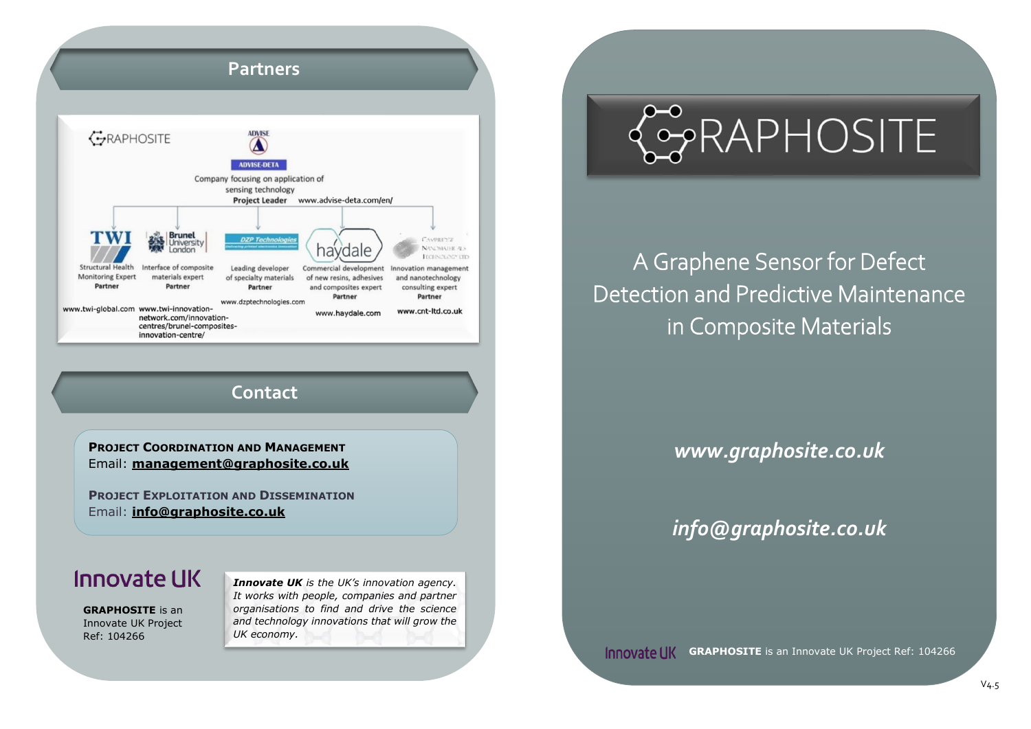## **Partners**



### **Contact**

**PROJECT COORDINATION AND MANAGEMENT** Email: **[management@graphosite.co.uk](mailto:management@graphosite.co.uk)**

**PROJECT EXPLOITATION AND DISSEMINATION** Email: **[info@graphosite.co.uk](mailto:info@graphosite.co.uk)**

## Innovate LIK

**GRAPHOSITE** is an Innovate UK Project Ref: 104266

*Innovate UK is the UK's innovation agency. It works with people, companies and partner organisations to find and drive the science and technology innovations that will grow the UK economy.* 

# CORAPHOSITE

A Graphene Sensor for Defect Detection and Predictive Maintenance in Composite Materials

*www.graphosite.co.uk*

*info@graphosite.co.uk*

**GRAPHOSITE** is an Innovate UK Project Ref: 104266